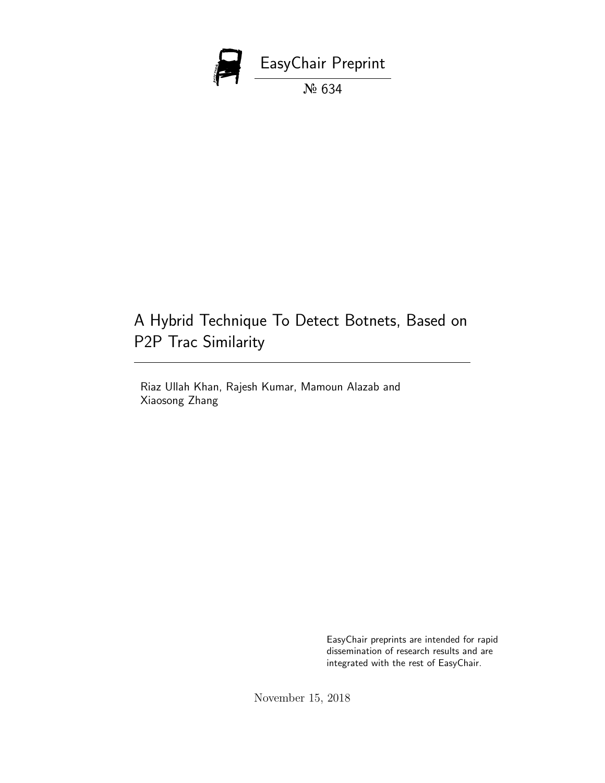

# A Hybrid Technique To Detect Botnets, Based on P2P Trac Similarity

Riaz Ullah Khan, Rajesh Kumar, Mamoun Alazab and Xiaosong Zhang

> EasyChair preprints are intended for rapid dissemination of research results and are integrated with the rest of EasyChair.

November 15, 2018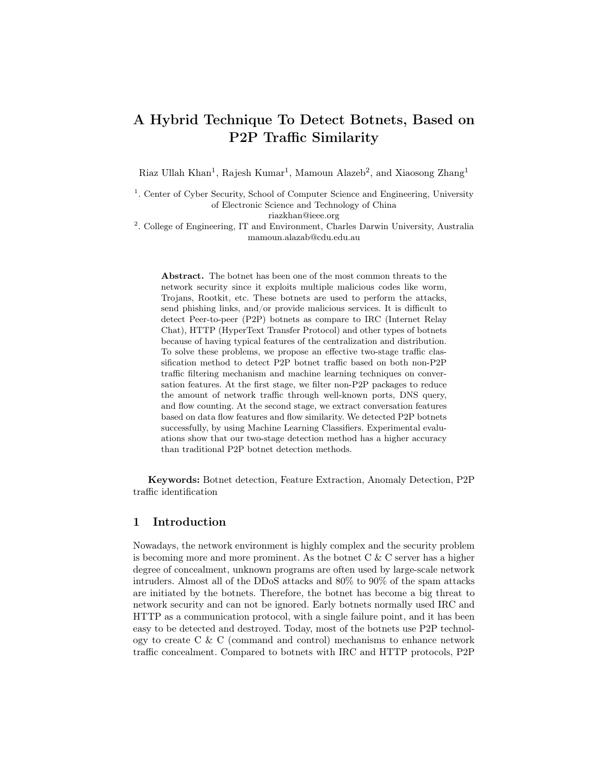## A Hybrid Technique To Detect Botnets, Based on P2P Traffic Similarity

Riaz Ullah Khan<sup>1</sup>, Rajesh Kumar<sup>1</sup>, Mamoun Alazeb<sup>2</sup>, and Xiaosong Zhang<sup>1</sup>

<sup>1</sup>. Center of Cyber Security, School of Computer Science and Engineering, University of Electronic Science and Technology of China riazkhan@ieee.org

<sup>2</sup>. College of Engineering, IT and Environment, Charles Darwin University, Australia mamoun.alazab@cdu.edu.au

Abstract. The botnet has been one of the most common threats to the network security since it exploits multiple malicious codes like worm, Trojans, Rootkit, etc. These botnets are used to perform the attacks, send phishing links, and/or provide malicious services. It is difficult to detect Peer-to-peer (P2P) botnets as compare to IRC (Internet Relay Chat), HTTP (HyperText Transfer Protocol) and other types of botnets because of having typical features of the centralization and distribution. To solve these problems, we propose an effective two-stage traffic classification method to detect P2P botnet traffic based on both non-P2P traffic filtering mechanism and machine learning techniques on conversation features. At the first stage, we filter non-P2P packages to reduce the amount of network traffic through well-known ports, DNS query, and flow counting. At the second stage, we extract conversation features based on data flow features and flow similarity. We detected P2P botnets successfully, by using Machine Learning Classifiers. Experimental evaluations show that our two-stage detection method has a higher accuracy than traditional P2P botnet detection methods.

Keywords: Botnet detection, Feature Extraction, Anomaly Detection, P2P traffic identification

## 1 Introduction

Nowadays, the network environment is highly complex and the security problem is becoming more and more prominent. As the botnet  $C \& C$  server has a higher degree of concealment, unknown programs are often used by large-scale network intruders. Almost all of the DDoS attacks and 80% to 90% of the spam attacks are initiated by the botnets. Therefore, the botnet has become a big threat to network security and can not be ignored. Early botnets normally used IRC and HTTP as a communication protocol, with a single failure point, and it has been easy to be detected and destroyed. Today, most of the botnets use P2P technology to create C & C (command and control) mechanisms to enhance network traffic concealment. Compared to botnets with IRC and HTTP protocols, P2P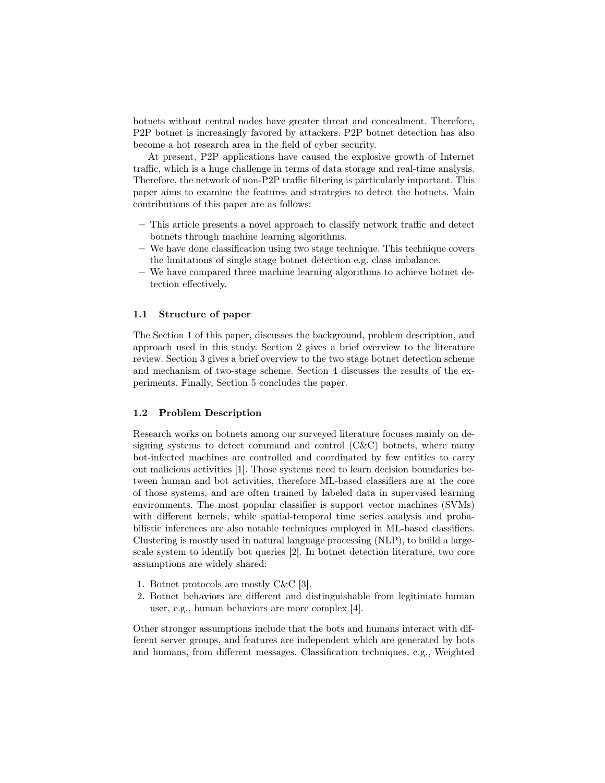botnets without central nodes have greater threat and concealment. Therefore, P2P botnet is increasingly favored by attackers. P2P botnet detection has also become a hot research area in the field of cyber security.

At present, P2P applications have caused the explosive growth of Internet traffic, which is a huge challenge in terms of data storage and real-time analysis. Therefore, the network of non-P2P traffic filtering is particularly important. This paper aims to examine the features and strategies to detect the botnets. Main contributions of this paper are as follows:

- This article presents a novel approach to classify network traffic and detect botnets through machine learning algorithms.
- We have done classification using two stage technique. This technique covers the limitations of single stage botnet detection e.g. class imbalance.
- We have compared three machine learning algorithms to achieve botnet detection effectively.

#### 1.1 Structure of paper

The Section 1 of this paper, discusses the background, problem description, and approach used in this study. Section 2 gives a brief overview to the literature review. Section 3 gives a brief overview to the two stage botnet detection scheme and mechanism of two-stage scheme. Section 4 discusses the results of the experiments. Finally, Section 5 concludes the paper.

## 1.2 Problem Description

Research works on botnets among our surveyed literature focuses mainly on designing systems to detect command and control  $(C&C)$  botnets, where many bot-infected machines are controlled and coordinated by few entities to carry out malicious activities [1]. Those systems need to learn decision boundaries between human and bot activities, therefore ML-based classifiers are at the core of those systems, and are often trained by labeled data in supervised learning environments. The most popular classifier is support vector machines (SVMs) with different kernels, while spatial-temporal time series analysis and probabilistic inferences are also notable techniques employed in ML-based classifiers. Clustering is mostly used in natural language processing (NLP), to build a largescale system to identify bot queries [2]. In botnet detection literature, two core assumptions are widely shared:

- 1. Botnet protocols are mostly C&C [3].
- 2. Botnet behaviors are different and distinguishable from legitimate human user, e.g., human behaviors are more complex [4].

Other stronger assumptions include that the bots and humans interact with different server groups, and features are independent which are generated by bots and humans, from different messages. Classification techniques, e.g., Weighted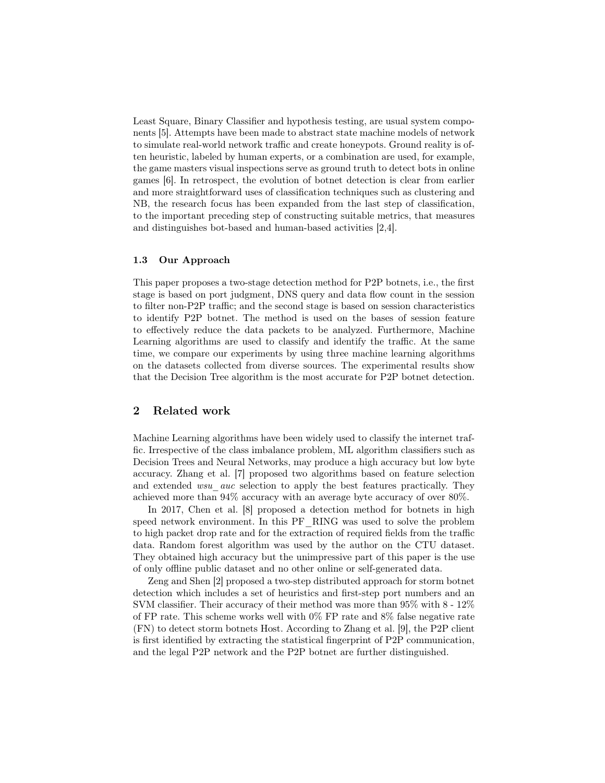Least Square, Binary Classifier and hypothesis testing, are usual system components [5]. Attempts have been made to abstract state machine models of network to simulate real-world network traffic and create honeypots. Ground reality is often heuristic, labeled by human experts, or a combination are used, for example, the game masters visual inspections serve as ground truth to detect bots in online games [6]. In retrospect, the evolution of botnet detection is clear from earlier and more straightforward uses of classification techniques such as clustering and NB, the research focus has been expanded from the last step of classification, to the important preceding step of constructing suitable metrics, that measures and distinguishes bot-based and human-based activities [2,4].

#### 1.3 Our Approach

This paper proposes a two-stage detection method for P2P botnets, i.e., the first stage is based on port judgment, DNS query and data flow count in the session to filter non-P2P traffic; and the second stage is based on session characteristics to identify P2P botnet. The method is used on the bases of session feature to effectively reduce the data packets to be analyzed. Furthermore, Machine Learning algorithms are used to classify and identify the traffic. At the same time, we compare our experiments by using three machine learning algorithms on the datasets collected from diverse sources. The experimental results show that the Decision Tree algorithm is the most accurate for P2P botnet detection.

## 2 Related work

Machine Learning algorithms have been widely used to classify the internet traffic. Irrespective of the class imbalance problem, ML algorithm classifiers such as Decision Trees and Neural Networks, may produce a high accuracy but low byte accuracy. Zhang et al. [7] proposed two algorithms based on feature selection and extended *wsu* auc selection to apply the best features practically. They achieved more than 94% accuracy with an average byte accuracy of over 80%.

In 2017, Chen et al. [8] proposed a detection method for botnets in high speed network environment. In this PF\_RING was used to solve the problem to high packet drop rate and for the extraction of required fields from the traffic data. Random forest algorithm was used by the author on the CTU dataset. They obtained high accuracy but the unimpressive part of this paper is the use of only offline public dataset and no other online or self-generated data.

Zeng and Shen [2] proposed a two-step distributed approach for storm botnet detection which includes a set of heuristics and first-step port numbers and an SVM classifier. Their accuracy of their method was more than 95% with 8 - 12% of FP rate. This scheme works well with 0% FP rate and 8% false negative rate (FN) to detect storm botnets Host. According to Zhang et al. [9], the P2P client is first identified by extracting the statistical fingerprint of P2P communication, and the legal P2P network and the P2P botnet are further distinguished.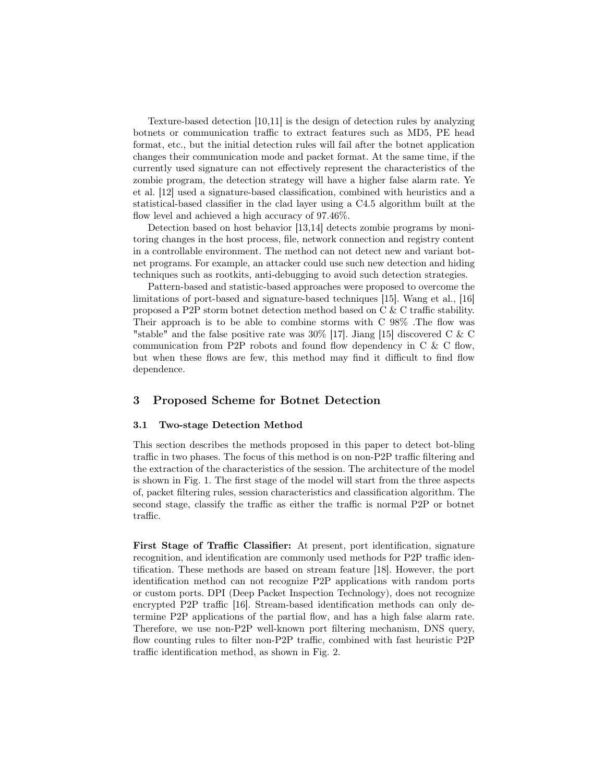Texture-based detection [10,11] is the design of detection rules by analyzing botnets or communication traffic to extract features such as MD5, PE head format, etc., but the initial detection rules will fail after the botnet application changes their communication mode and packet format. At the same time, if the currently used signature can not effectively represent the characteristics of the zombie program, the detection strategy will have a higher false alarm rate. Ye et al. [12] used a signature-based classification, combined with heuristics and a statistical-based classifier in the clad layer using a C4.5 algorithm built at the flow level and achieved a high accuracy of 97.46%.

Detection based on host behavior [13,14] detects zombie programs by monitoring changes in the host process, file, network connection and registry content in a controllable environment. The method can not detect new and variant botnet programs. For example, an attacker could use such new detection and hiding techniques such as rootkits, anti-debugging to avoid such detection strategies.

Pattern-based and statistic-based approaches were proposed to overcome the limitations of port-based and signature-based techniques [15]. Wang et al., [16] proposed a P2P storm botnet detection method based on C & C traffic stability. Their approach is to be able to combine storms with C 98% .The flow was "stable" and the false positive rate was 30% [17]. Jiang [15] discovered C & C communication from P2P robots and found flow dependency in C & C flow, but when these flows are few, this method may find it difficult to find flow dependence.

## 3 Proposed Scheme for Botnet Detection

## 3.1 Two-stage Detection Method

This section describes the methods proposed in this paper to detect bot-bling traffic in two phases. The focus of this method is on non-P2P traffic filtering and the extraction of the characteristics of the session. The architecture of the model is shown in Fig. 1. The first stage of the model will start from the three aspects of, packet filtering rules, session characteristics and classification algorithm. The second stage, classify the traffic as either the traffic is normal P2P or botnet traffic.

First Stage of Traffic Classifier: At present, port identification, signature recognition, and identification are commonly used methods for P2P traffic identification. These methods are based on stream feature [18]. However, the port identification method can not recognize P2P applications with random ports or custom ports. DPI (Deep Packet Inspection Technology), does not recognize encrypted P2P traffic [16]. Stream-based identification methods can only determine P2P applications of the partial flow, and has a high false alarm rate. Therefore, we use non-P2P well-known port filtering mechanism, DNS query, flow counting rules to filter non-P2P traffic, combined with fast heuristic P2P traffic identification method, as shown in Fig. 2.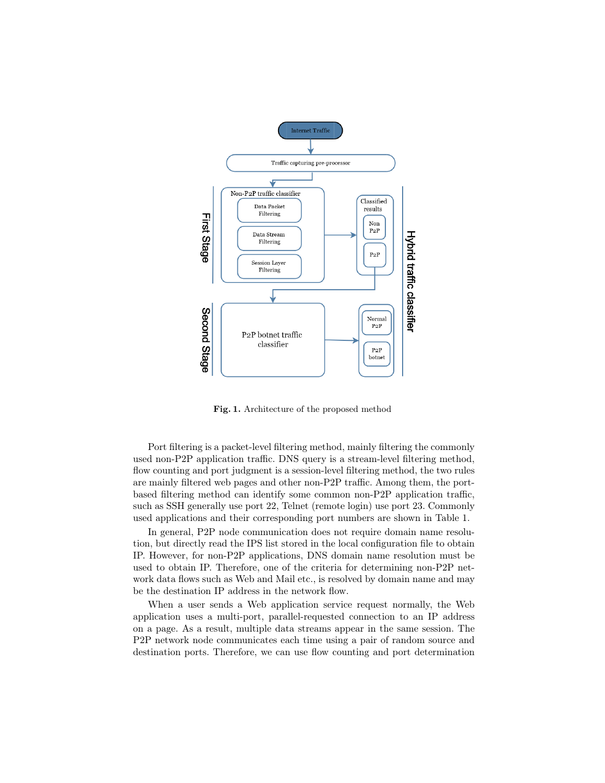

Fig. 1. Architecture of the proposed method

Port filtering is a packet-level filtering method, mainly filtering the commonly used non-P2P application traffic. DNS query is a stream-level filtering method, flow counting and port judgment is a session-level filtering method, the two rules are mainly filtered web pages and other non-P2P traffic. Among them, the portbased filtering method can identify some common non-P2P application traffic, such as SSH generally use port 22, Telnet (remote login) use port 23. Commonly used applications and their corresponding port numbers are shown in Table 1.

In general, P2P node communication does not require domain name resolution, but directly read the IPS list stored in the local configuration file to obtain IP. However, for non-P2P applications, DNS domain name resolution must be used to obtain IP. Therefore, one of the criteria for determining non-P2P network data flows such as Web and Mail etc., is resolved by domain name and may be the destination IP address in the network flow.

When a user sends a Web application service request normally, the Web application uses a multi-port, parallel-requested connection to an IP address on a page. As a result, multiple data streams appear in the same session. The P2P network node communicates each time using a pair of random source and destination ports. Therefore, we can use flow counting and port determination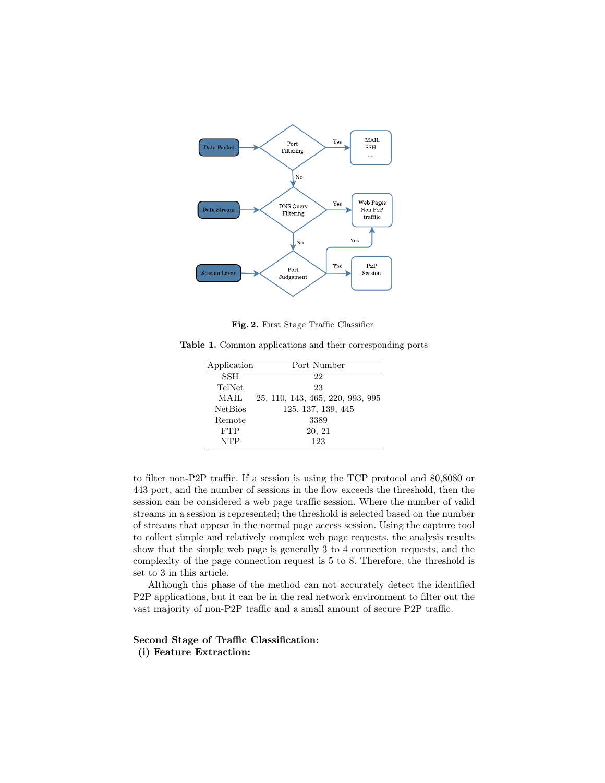

Fig. 2. First Stage Traffic Classifier

Table 1. Common applications and their corresponding ports

| Application    | Port Number                      |
|----------------|----------------------------------|
| SSH            | 22                               |
| TelNet         | 23                               |
| MAIL           | 25, 110, 143, 465, 220, 993, 995 |
| <b>NetBios</b> | 125, 137, 139, 445               |
| Remote         | 3389                             |
| <b>FTP</b>     | 20, 21                           |
| <b>NTP</b>     | 123                              |

to filter non-P2P traffic. If a session is using the TCP protocol and 80,8080 or 443 port, and the number of sessions in the flow exceeds the threshold, then the session can be considered a web page traffic session. Where the number of valid streams in a session is represented; the threshold is selected based on the number of streams that appear in the normal page access session. Using the capture tool to collect simple and relatively complex web page requests, the analysis results show that the simple web page is generally 3 to 4 connection requests, and the complexity of the page connection request is 5 to 8. Therefore, the threshold is set to 3 in this article.

Although this phase of the method can not accurately detect the identified P2P applications, but it can be in the real network environment to filter out the vast majority of non-P2P traffic and a small amount of secure P2P traffic.

## Second Stage of Traffic Classification:

(i) Feature Extraction: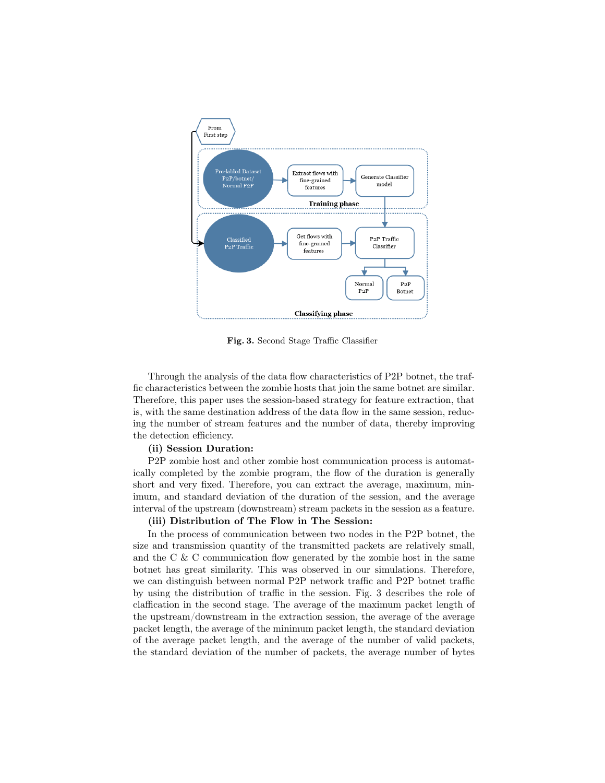

Fig. 3. Second Stage Traffic Classifier

Through the analysis of the data flow characteristics of P2P botnet, the traffic characteristics between the zombie hosts that join the same botnet are similar. Therefore, this paper uses the session-based strategy for feature extraction, that is, with the same destination address of the data flow in the same session, reducing the number of stream features and the number of data, thereby improving the detection efficiency.

#### (ii) Session Duration:

P2P zombie host and other zombie host communication process is automatically completed by the zombie program, the flow of the duration is generally short and very fixed. Therefore, you can extract the average, maximum, minimum, and standard deviation of the duration of the session, and the average interval of the upstream (downstream) stream packets in the session as a feature.

#### (iii) Distribution of The Flow in The Session:

In the process of communication between two nodes in the P2P botnet, the size and transmission quantity of the transmitted packets are relatively small, and the C & C communication flow generated by the zombie host in the same botnet has great similarity. This was observed in our simulations. Therefore, we can distinguish between normal P2P network traffic and P2P botnet traffic by using the distribution of traffic in the session. Fig. 3 describes the role of claffication in the second stage. The average of the maximum packet length of the upstream/downstream in the extraction session, the average of the average packet length, the average of the minimum packet length, the standard deviation of the average packet length, and the average of the number of valid packets, the standard deviation of the number of packets, the average number of bytes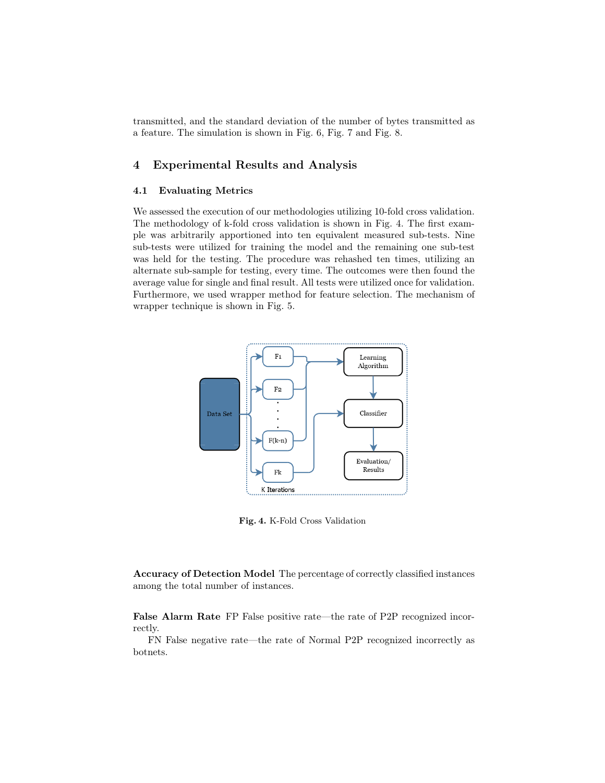transmitted, and the standard deviation of the number of bytes transmitted as a feature. The simulation is shown in Fig. 6, Fig. 7 and Fig. 8.

## 4 Experimental Results and Analysis

## 4.1 Evaluating Metrics

We assessed the execution of our methodologies utilizing 10-fold cross validation. The methodology of k-fold cross validation is shown in Fig. 4. The first example was arbitrarily apportioned into ten equivalent measured sub-tests. Nine sub-tests were utilized for training the model and the remaining one sub-test was held for the testing. The procedure was rehashed ten times, utilizing an alternate sub-sample for testing, every time. The outcomes were then found the average value for single and final result. All tests were utilized once for validation. Furthermore, we used wrapper method for feature selection. The mechanism of wrapper technique is shown in Fig. 5.



Fig. 4. K-Fold Cross Validation

Accuracy of Detection Model The percentage of correctly classified instances among the total number of instances.

False Alarm Rate FP False positive rate—the rate of P2P recognized incorrectly.

FN False negative rate—the rate of Normal P2P recognized incorrectly as botnets.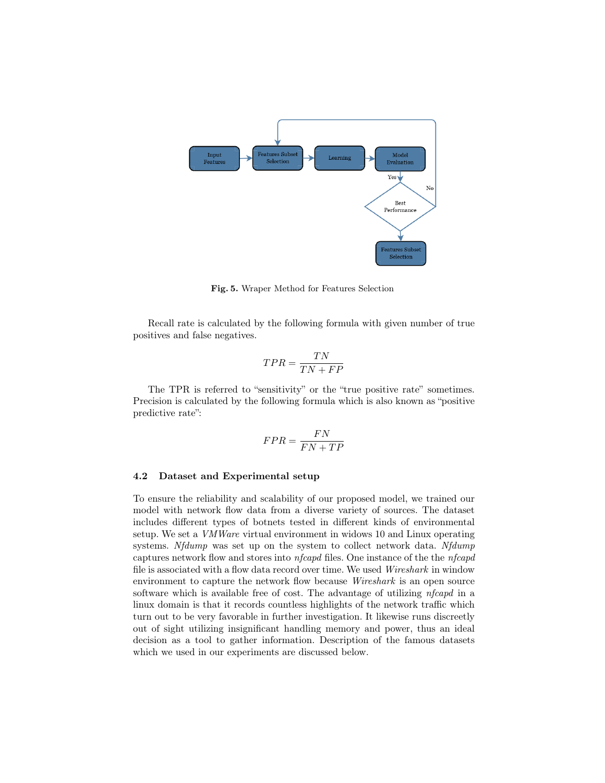

Fig. 5. Wraper Method for Features Selection

Recall rate is calculated by the following formula with given number of true positives and false negatives.

$$
TPR = \frac{TN}{TN + FP}
$$

The TPR is referred to "sensitivity" or the "true positive rate" sometimes. Precision is calculated by the following formula which is also known as "positive predictive rate":

$$
FPR = \frac{FN}{FN + TP}
$$

#### 4.2 Dataset and Experimental setup

To ensure the reliability and scalability of our proposed model, we trained our model with network flow data from a diverse variety of sources. The dataset includes different types of botnets tested in different kinds of environmental setup. We set a VMWare virtual environment in widows 10 and Linux operating systems. Nfdump was set up on the system to collect network data. Nfdump captures network flow and stores into nfcapd files. One instance of the the nfcapd file is associated with a flow data record over time. We used Wireshark in window environment to capture the network flow because Wireshark is an open source software which is available free of cost. The advantage of utilizing  $n$  fcapd in a linux domain is that it records countless highlights of the network traffic which turn out to be very favorable in further investigation. It likewise runs discreetly out of sight utilizing insignificant handling memory and power, thus an ideal decision as a tool to gather information. Description of the famous datasets which we used in our experiments are discussed below.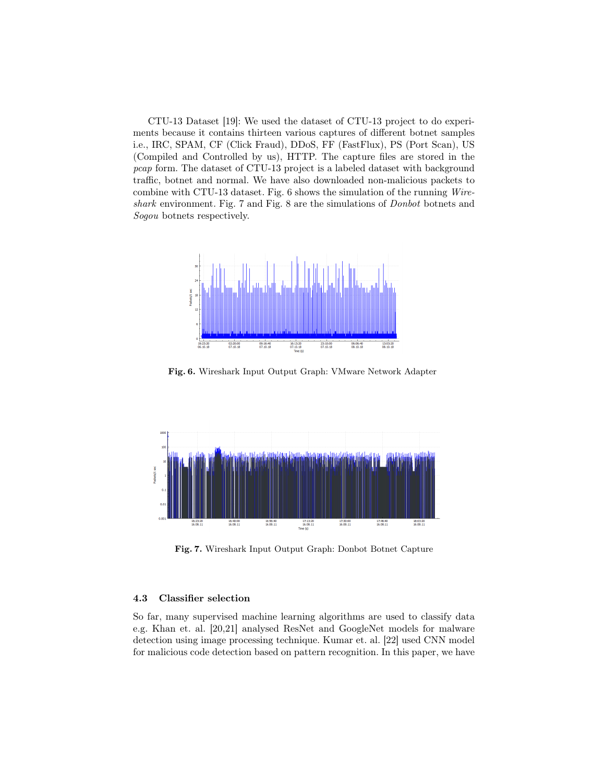CTU-13 Dataset [19]: We used the dataset of CTU-13 project to do experiments because it contains thirteen various captures of different botnet samples i.e., IRC, SPAM, CF (Click Fraud), DDoS, FF (FastFlux), PS (Port Scan), US (Compiled and Controlled by us), HTTP. The capture files are stored in the pcap form. The dataset of CTU-13 project is a labeled dataset with background traffic, botnet and normal. We have also downloaded non-malicious packets to combine with CTU-13 dataset. Fig. 6 shows the simulation of the running Wireshark environment. Fig. 7 and Fig. 8 are the simulations of Donbot botnets and Sogou botnets respectively.



Fig. 6. Wireshark Input Output Graph: VMware Network Adapter



Fig. 7. Wireshark Input Output Graph: Donbot Botnet Capture

#### 4.3 Classifier selection

So far, many supervised machine learning algorithms are used to classify data e.g. Khan et. al. [20,21] analysed ResNet and GoogleNet models for malware detection using image processing technique. Kumar et. al. [22] used CNN model for malicious code detection based on pattern recognition. In this paper, we have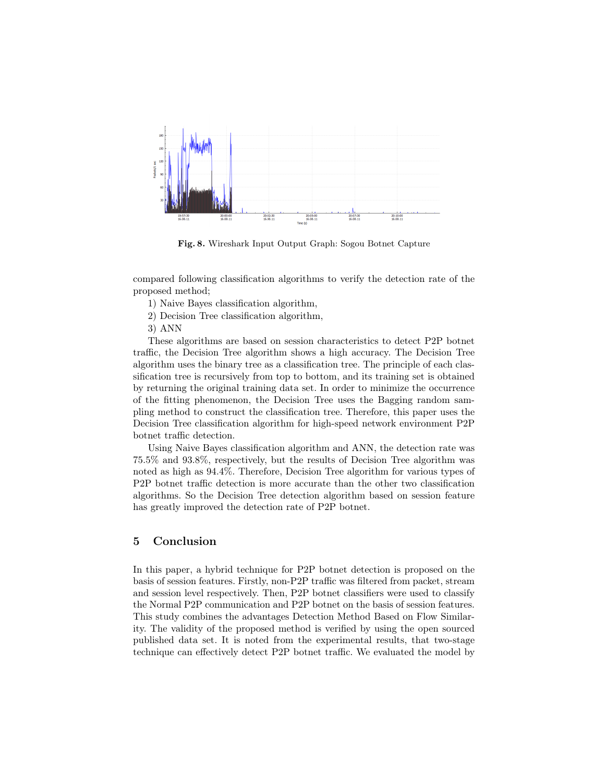

Fig. 8. Wireshark Input Output Graph: Sogou Botnet Capture

compared following classification algorithms to verify the detection rate of the proposed method;

1) Naive Bayes classification algorithm,

2) Decision Tree classification algorithm,

3) ANN

These algorithms are based on session characteristics to detect P2P botnet traffic, the Decision Tree algorithm shows a high accuracy. The Decision Tree algorithm uses the binary tree as a classification tree. The principle of each classification tree is recursively from top to bottom, and its training set is obtained by returning the original training data set. In order to minimize the occurrence of the fitting phenomenon, the Decision Tree uses the Bagging random sampling method to construct the classification tree. Therefore, this paper uses the Decision Tree classification algorithm for high-speed network environment P2P botnet traffic detection.

Using Naive Bayes classification algorithm and ANN, the detection rate was 75.5% and 93.8%, respectively, but the results of Decision Tree algorithm was noted as high as 94.4%. Therefore, Decision Tree algorithm for various types of P2P botnet traffic detection is more accurate than the other two classification algorithms. So the Decision Tree detection algorithm based on session feature has greatly improved the detection rate of P2P botnet.

## 5 Conclusion

In this paper, a hybrid technique for P2P botnet detection is proposed on the basis of session features. Firstly, non-P2P traffic was filtered from packet, stream and session level respectively. Then, P2P botnet classifiers were used to classify the Normal P2P communication and P2P botnet on the basis of session features. This study combines the advantages Detection Method Based on Flow Similarity. The validity of the proposed method is verified by using the open sourced published data set. It is noted from the experimental results, that two-stage technique can effectively detect P2P botnet traffic. We evaluated the model by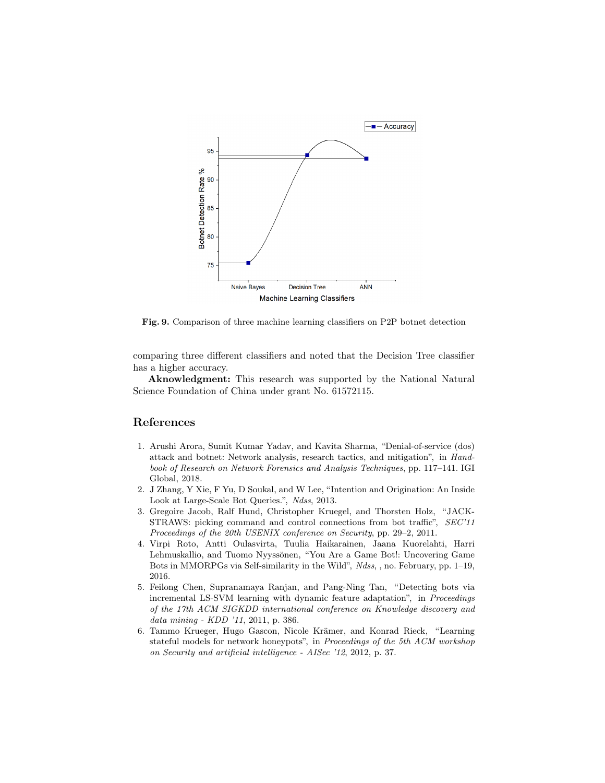

Fig. 9. Comparison of three machine learning classifiers on P2P botnet detection

comparing three different classifiers and noted that the Decision Tree classifier has a higher accuracy.

Aknowledgment: This research was supported by the National Natural Science Foundation of China under grant No. 61572115.

## References

- 1. Arushi Arora, Sumit Kumar Yadav, and Kavita Sharma, "Denial-of-service (dos) attack and botnet: Network analysis, research tactics, and mitigation", in Handbook of Research on Network Forensics and Analysis Techniques, pp. 117–141. IGI Global, 2018.
- 2. J Zhang, Y Xie, F Yu, D Soukal, and W Lee, "Intention and Origination: An Inside Look at Large-Scale Bot Queries.", Ndss, 2013.
- 3. Gregoire Jacob, Ralf Hund, Christopher Kruegel, and Thorsten Holz, "JACK-STRAWS: picking command and control connections from bot traffic", SEC'11 Proceedings of the 20th USENIX conference on Security, pp. 29–2, 2011.
- 4. Virpi Roto, Antti Oulasvirta, Tuulia Haikarainen, Jaana Kuorelahti, Harri Lehmuskallio, and Tuomo Nyyssönen, "You Are a Game Bot!: Uncovering Game Bots in MMORPGs via Self-similarity in the Wild", Ndss, , no. February, pp. 1–19, 2016.
- 5. Feilong Chen, Supranamaya Ranjan, and Pang-Ning Tan, "Detecting bots via incremental LS-SVM learning with dynamic feature adaptation", in Proceedings of the 17th ACM SIGKDD international conference on Knowledge discovery and data mining - KDD '11, 2011, p. 386.
- 6. Tammo Krueger, Hugo Gascon, Nicole Krämer, and Konrad Rieck, "Learning stateful models for network honeypots", in Proceedings of the 5th ACM workshop on Security and artificial intelligence - AISec '12, 2012, p. 37.